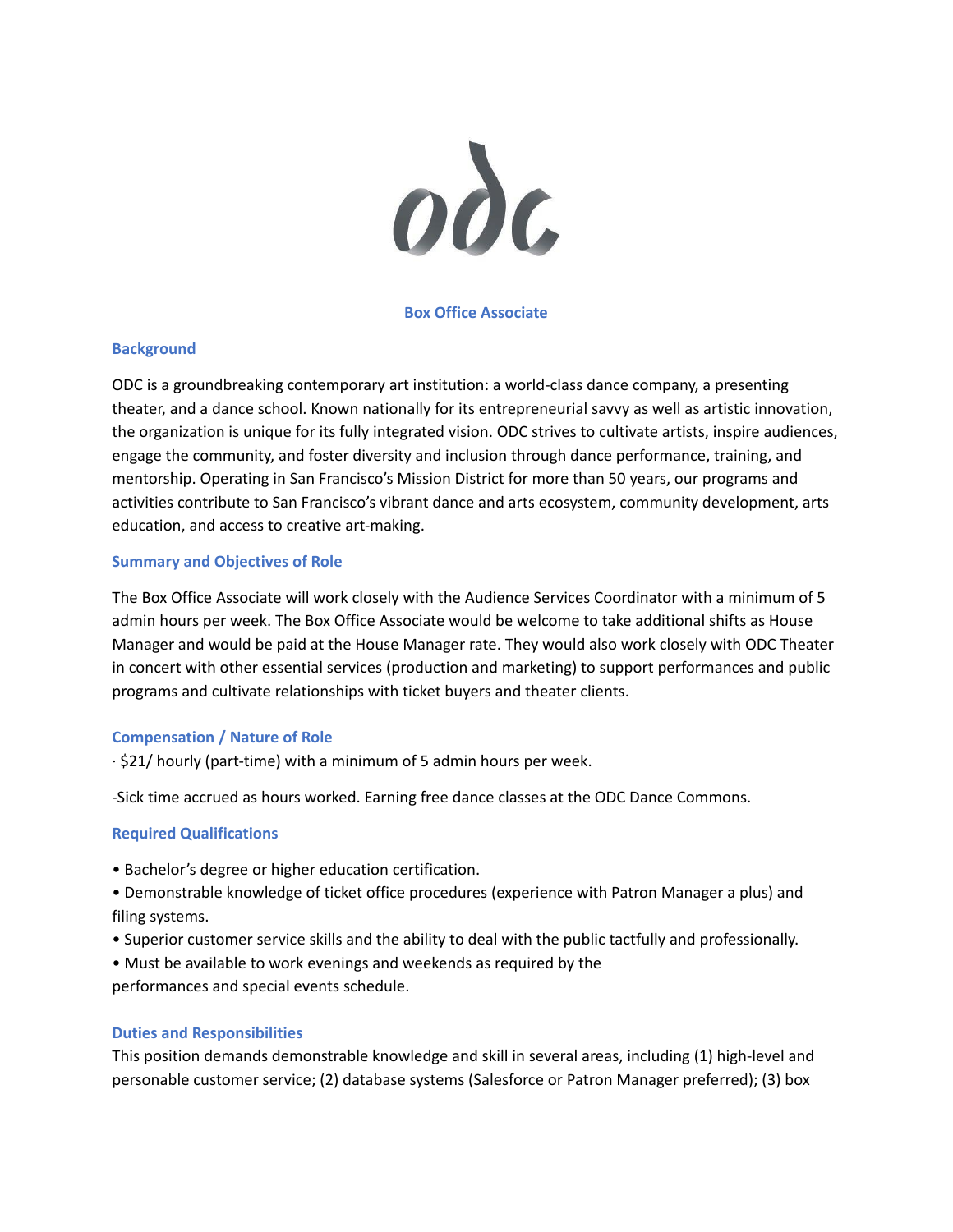

## **Box Office Associate**

## **Background**

ODC is a groundbreaking contemporary art institution: a world-class dance company, a presenting theater, and a dance school. Known nationally for its entrepreneurial savvy as well as artistic innovation, the organization is unique for its fully integrated vision. ODC strives to cultivate artists, inspire audiences, engage the community, and foster diversity and inclusion through dance performance, training, and mentorship. Operating in San Francisco's Mission District for more than 50 years, our programs and activities contribute to San Francisco's vibrant dance and arts ecosystem, community development, arts education, and access to creative art-making.

#### **Summary and Objectives of Role**

The Box Office Associate will work closely with the Audience Services Coordinator with a minimum of 5 admin hours per week. The Box Office Associate would be welcome to take additional shifts as House Manager and would be paid at the House Manager rate. They would also work closely with ODC Theater in concert with other essential services (production and marketing) to support performances and public programs and cultivate relationships with ticket buyers and theater clients.

#### **Compensation / Nature of Role**

 $\cdot$  \$21/ hourly (part-time) with a minimum of 5 admin hours per week.

-Sick time accrued as hours worked. Earning free dance classes at the ODC Dance Commons.

#### **Required Qualifications**

- Bachelor's degree or higher education certification.
- Demonstrable knowledge of ticket office procedures (experience with Patron Manager a plus) and filing systems.
- Superior customer service skills and the ability to deal with the public tactfully and professionally.
- Must be available to work evenings and weekends as required by the

performances and special events schedule.

#### **Duties and Responsibilities**

This position demands demonstrable knowledge and skill in several areas, including (1) high-level and personable customer service; (2) database systems (Salesforce or Patron Manager preferred); (3) box